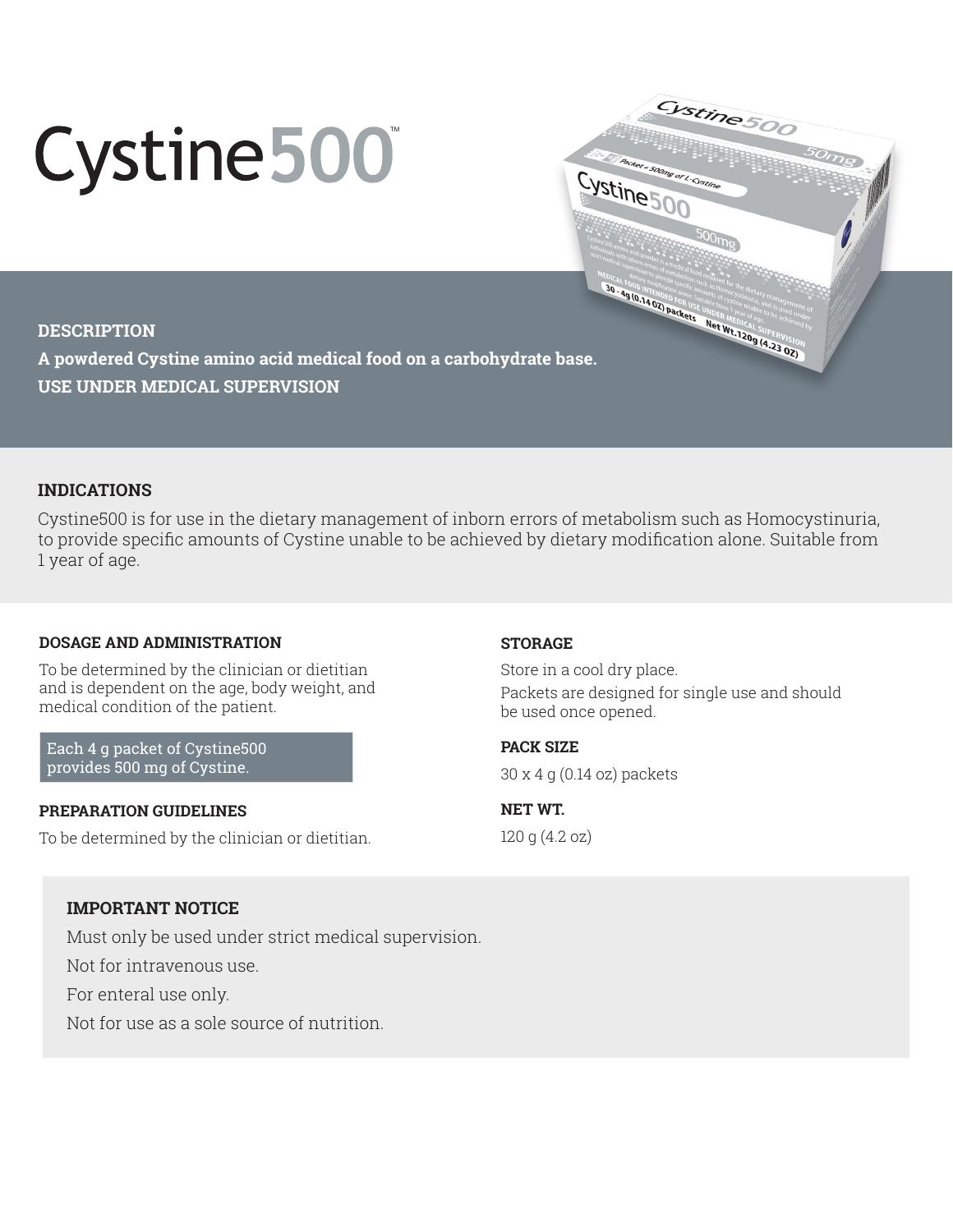# Cystine 500

### **DESCRIPTION**

**A powdered Cystine amino acid medical food on a carbohydrate base. USE UNDER MEDICAL SUPERVISION**

# **INDICATIONS**

Cystine500 is for use in the dietary management of inborn errors of metabolism such as Homocystinuria, to provide specific amounts of Cystine unable to be achieved by dietary modification alone. Suitable from 1 year of age.

## **DOSAGE AND ADMINISTRATION**

To be determined by the clinician or dietitian and is dependent on the age, body weight, and medical condition of the patient.

Each 4 g packet of Cystine500 provides 500 mg of Cystine.

### **PREPARATION GUIDELINES**

To be determined by the clinician or dietitian.

## **STORAGE**

Store in a cool dry place. Packets are designed for single use and should be used once opened.

Cystine500

MEDICAL FORD PRICE OF BUSINESS CALL AND TRANSPORTATION OF BUSINESS CALL AND TRANSPORTATION OF BUSINESS CALL AND TRANSPORTATION AND ALL AND TRANSPORTATION OF BUSINESS CALL AND TRANSPORTATION OF BUSINESS CALL AND TRANSPORTAT

Packet = 500mg of L-Cystin

Cystine 500

**PACK SIZE**  30 x 4 g (0.14 oz) packets

**NET WT.**  120 g (4.2 oz)

## **IMPORTANT NOTICE**

Must only be used under strict medical supervision.

Not for intravenous use.

For enteral use only.

Not for use as a sole source of nutrition.